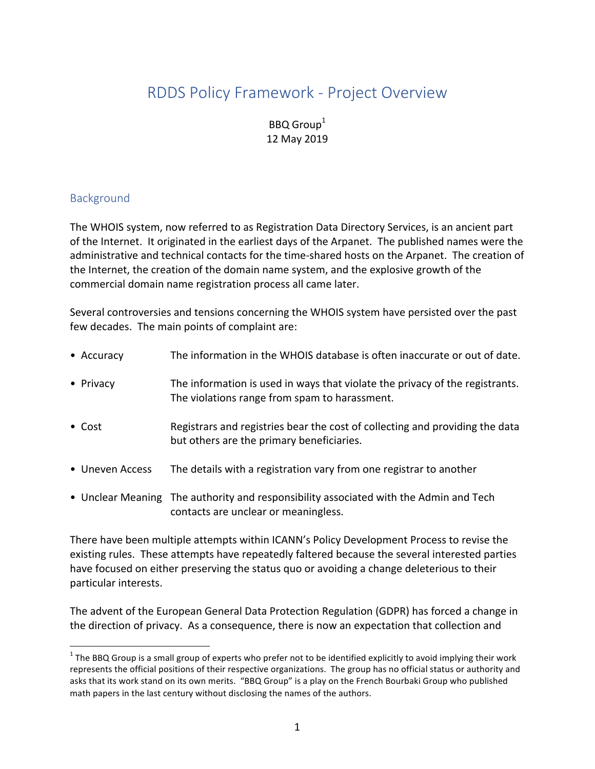# RDDS Policy Framework - Project Overview

## BBQ Group<sup>1</sup> 12 May 2019

#### Background

The WHOIS system, now referred to as Registration Data Directory Services, is an ancient part of the Internet. It originated in the earliest days of the Arpanet. The published names were the administrative and technical contacts for the time-shared hosts on the Arpanet. The creation of the Internet, the creation of the domain name system, and the explosive growth of the commercial domain name registration process all came later.

Several controversies and tensions concerning the WHOIS system have persisted over the past few decades. The main points of complaint are:

| • Accuracy      | The information in the WHOIS database is often inaccurate or out of date.                                                     |
|-----------------|-------------------------------------------------------------------------------------------------------------------------------|
| • Privacy       | The information is used in ways that violate the privacy of the registrants.<br>The violations range from spam to harassment. |
| $\bullet$ Cost  | Registrars and registries bear the cost of collecting and providing the data<br>but others are the primary beneficiaries.     |
| • Uneven Access | The details with a registration vary from one registrar to another                                                            |
|                 | • Unclear Meaning The authority and responsibility associated with the Admin and Tech<br>contacts are unclear or meaningless. |

There have been multiple attempts within ICANN's Policy Development Process to revise the existing rules. These attempts have repeatedly faltered because the several interested parties have focused on either preserving the status quo or avoiding a change deleterious to their particular interests.

The advent of the European General Data Protection Regulation (GDPR) has forced a change in the direction of privacy. As a consequence, there is now an expectation that collection and

 $1$  The BBQ Group is a small group of experts who prefer not to be identified explicitly to avoid implying their work represents the official positions of their respective organizations. The group has no official status or authority and asks that its work stand on its own merits. "BBQ Group" is a play on the French Bourbaki Group who published math papers in the last century without disclosing the names of the authors.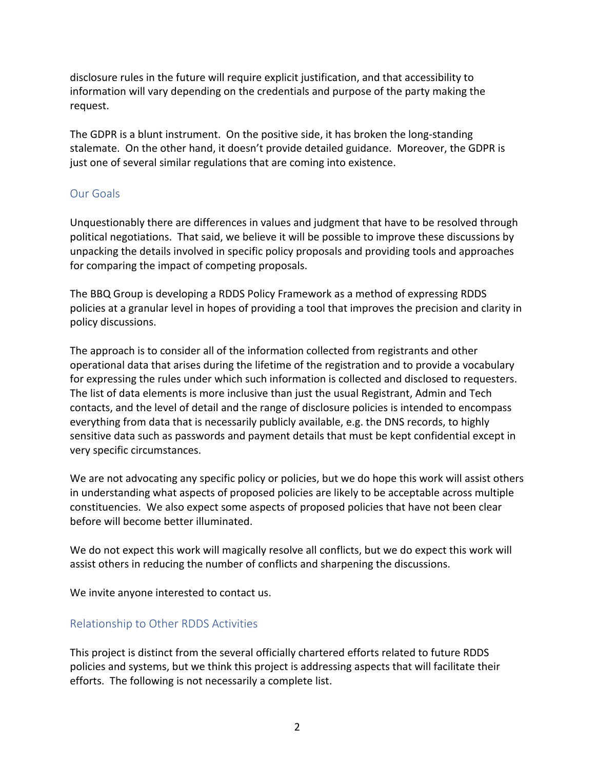disclosure rules in the future will require explicit justification, and that accessibility to information will vary depending on the credentials and purpose of the party making the request.

The GDPR is a blunt instrument. On the positive side, it has broken the long-standing stalemate. On the other hand, it doesn't provide detailed guidance. Moreover, the GDPR is just one of several similar regulations that are coming into existence.

#### Our Goals

Unquestionably there are differences in values and judgment that have to be resolved through political negotiations. That said, we believe it will be possible to improve these discussions by unpacking the details involved in specific policy proposals and providing tools and approaches for comparing the impact of competing proposals.

The BBQ Group is developing a RDDS Policy Framework as a method of expressing RDDS policies at a granular level in hopes of providing a tool that improves the precision and clarity in policy discussions.

The approach is to consider all of the information collected from registrants and other operational data that arises during the lifetime of the registration and to provide a vocabulary for expressing the rules under which such information is collected and disclosed to requesters. The list of data elements is more inclusive than just the usual Registrant, Admin and Tech contacts, and the level of detail and the range of disclosure policies is intended to encompass everything from data that is necessarily publicly available, e.g. the DNS records, to highly sensitive data such as passwords and payment details that must be kept confidential except in very specific circumstances.

We are not advocating any specific policy or policies, but we do hope this work will assist others in understanding what aspects of proposed policies are likely to be acceptable across multiple constituencies. We also expect some aspects of proposed policies that have not been clear before will become better illuminated.

We do not expect this work will magically resolve all conflicts, but we do expect this work will assist others in reducing the number of conflicts and sharpening the discussions.

We invite anyone interested to contact us.

### Relationship to Other RDDS Activities

This project is distinct from the several officially chartered efforts related to future RDDS policies and systems, but we think this project is addressing aspects that will facilitate their efforts. The following is not necessarily a complete list.